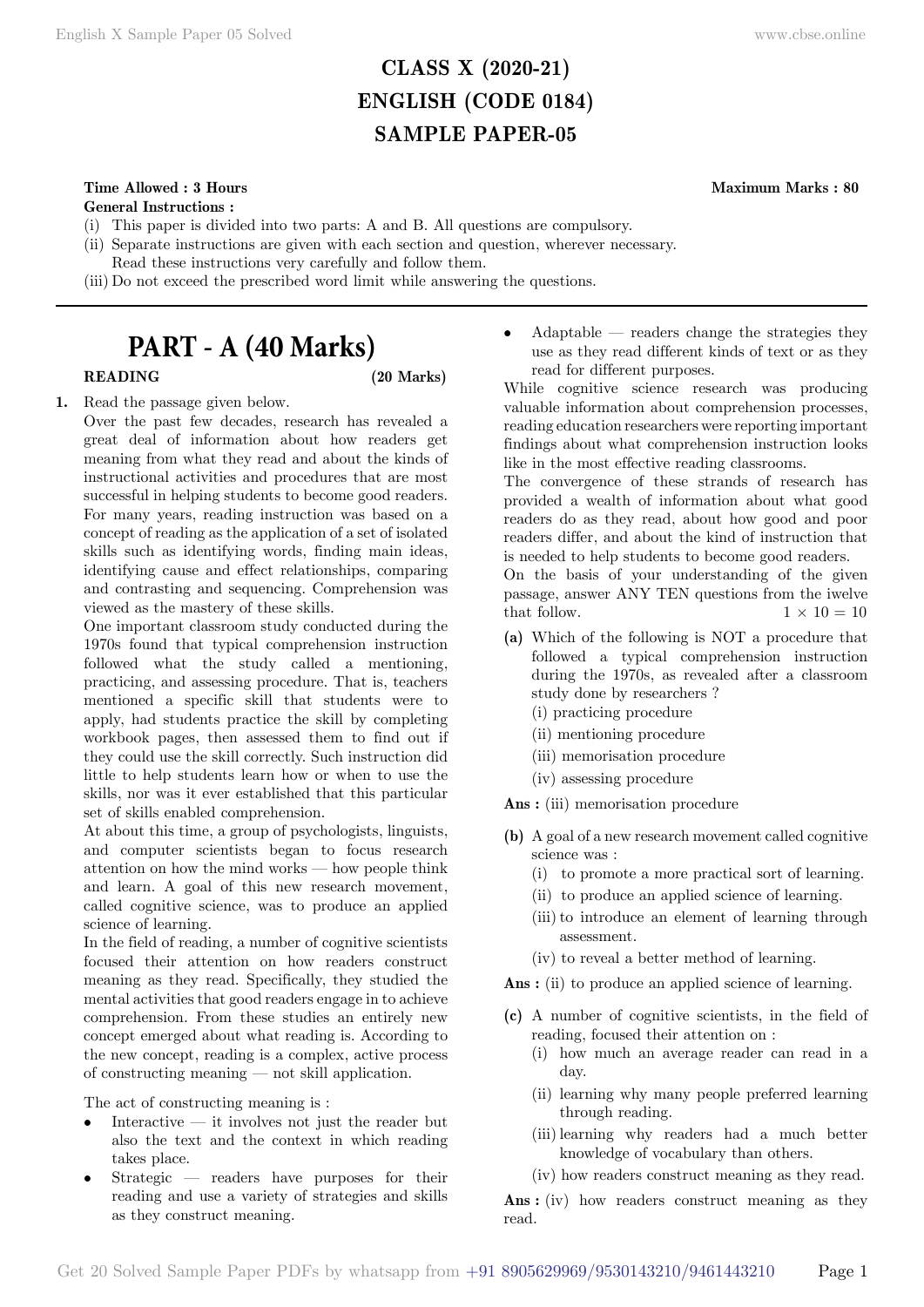# **CLASS X (2020-21) ENGLISH (CODE 0184) SAMPLE PAPER-05**

## **Time Allowed : 3 Hours Maximum Marks : 80**

**General Instructions :**

- (i) This paper is divided into two parts: A and B. All questions are compulsory.
- (ii) Separate instructions are given with each section and question, wherever necessary.
- Read these instructions very carefully and follow them.
- (iii) Do not exceed the prescribed word limit while answering the questions.

# **PART - A (40 Marks)**

### **READING (20 Marks)**

**1.** Read the passage given below.

Over the past few decades, research has revealed a great deal of information about how readers get meaning from what they read and about the kinds of instructional activities and procedures that are most successful in helping students to become good readers. For many years, reading instruction was based on a concept of reading as the application of a set of isolated skills such as identifying words, finding main ideas, identifying cause and effect relationships, comparing and contrasting and sequencing. Comprehension was viewed as the mastery of these skills.

One important classroom study conducted during the 1970s found that typical comprehension instruction followed what the study called a mentioning, practicing, and assessing procedure. That is, teachers mentioned a specific skill that students were to apply, had students practice the skill by completing workbook pages, then assessed them to find out if they could use the skill correctly. Such instruction did little to help students learn how or when to use the skills, nor was it ever established that this particular set of skills enabled comprehension.

At about this time, a group of psychologists, linguists, and computer scientists began to focus research attention on how the mind works — how people think and learn. A goal of this new research movement, called cognitive science, was to produce an applied science of learning.

In the field of reading, a number of cognitive scientists focused their attention on how readers construct meaning as they read. Specifically, they studied the mental activities that good readers engage in to achieve comprehension. From these studies an entirely new concept emerged about what reading is. According to the new concept, reading is a complex, active process of constructing meaning — not skill application.

The act of constructing meaning is :

- Interactive  $-$  it involves not just the reader but also the text and the context in which reading takes place.
- Strategic readers have purposes for their reading and use a variety of strategies and skills as they construct meaning.

• Adaptable — readers change the strategies they use as they read different kinds of text or as they read for different purposes.

While cognitive science research was producing valuable information about comprehension processes, reading education researchers were reporting important findings about what comprehension instruction looks like in the most effective reading classrooms.

The convergence of these strands of research has provided a wealth of information about what good readers do as they read, about how good and poor readers differ, and about the kind of instruction that is needed to help students to become good readers.

On the basis of your understanding of the given passage, answer ANY TEN questions from the iwelve that follow.  $1 \times 10 = 10$ 

- **(a)** Which of the following is NOT a procedure that followed a typical comprehension instruction during the 1970s, as revealed after a classroom study done by researchers ?
	- (i) practicing procedure
	- (ii) mentioning procedure
	- (iii) memorisation procedure
	- (iv) assessing procedure

 **Ans :** (iii) memorisation procedure

- **(b)** A goal of a new research movement called cognitive science was :
	- (i) to promote a more practical sort of learning.
	- (ii) to produce an applied science of learning.
	- (iii) to introduce an element of learning through assessment.
	- (iv) to reveal a better method of learning.

Ans : (ii) to produce an applied science of learning.

- **(c)** A number of cognitive scientists, in the field of reading, focused their attention on :
	- (i) how much an average reader can read in a day.
	- (ii) learning why many people preferred learning through reading.
	- (iii)learning why readers had a much better knowledge of vocabulary than others.
	- (iv) how readers construct meaning as they read.

 **Ans :** (iv) how readers construct meaning as they read.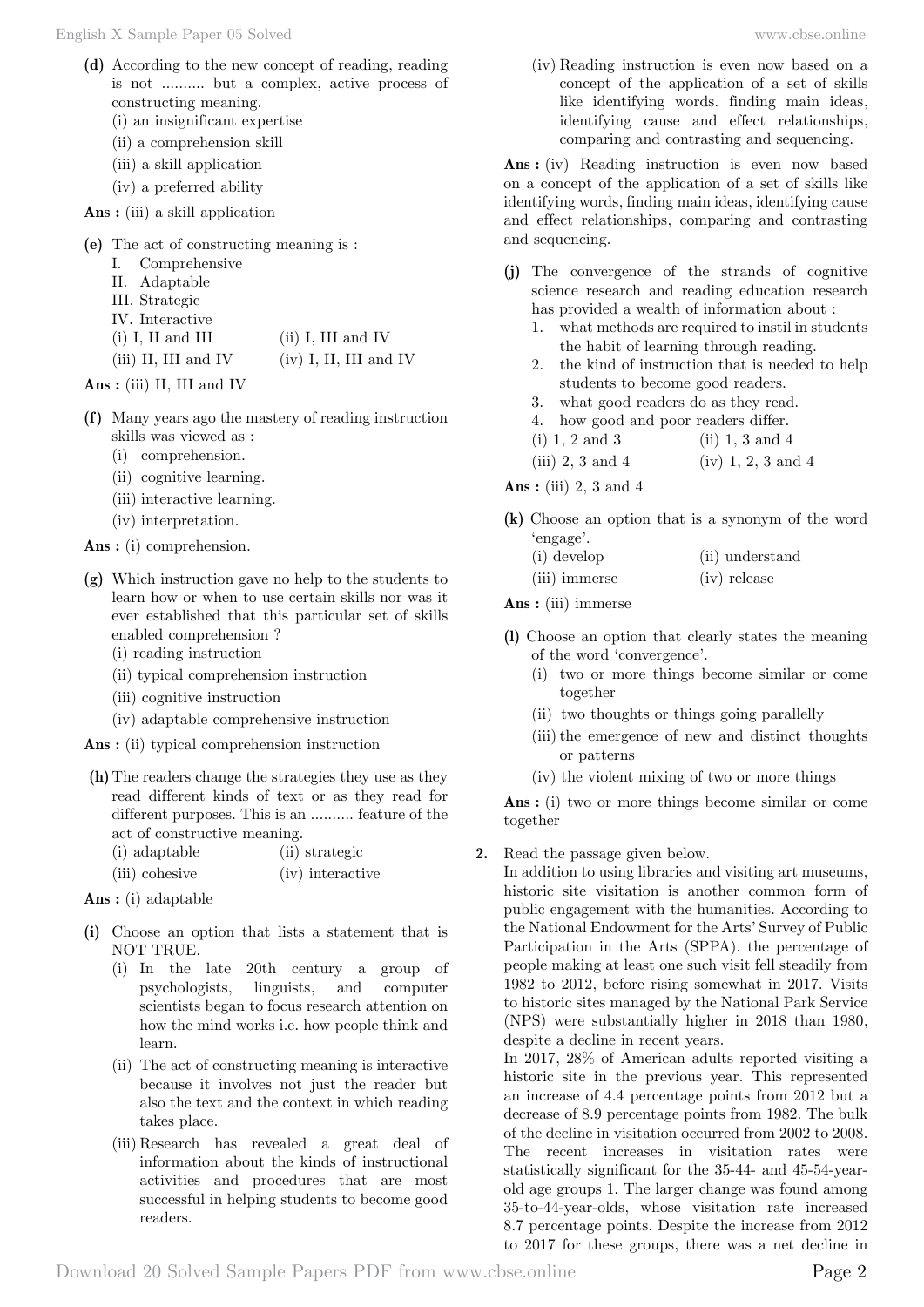- **(d)** According to the new concept of reading, reading is not .......... but a complex, active process of constructing meaning.
	- (i) an insignificant expertise
	- (ii) a comprehension skill
	- (iii) a skill application
	- (iv) a preferred ability
- **Ans :** (iii) a skill application
- **(e)** The act of constructing meaning is :
	- I. Comprehensive
	- II. Adaptable
	- III. Strategic
	- IV. Interactive
	- (i) I, II and III (ii) I, III and IV
	- (iii) II, III and IV (iv) I, II, III and IV
- **Ans :** (iii) II, III and IV
- **(f)** Many years ago the mastery of reading instruction skills was viewed as :
	- (i) comprehension.
	- (ii) cognitive learning.
	- (iii) interactive learning.
	- (iv) interpretation.

 **Ans :** (i) comprehension.

- **(g)** Which instruction gave no help to the students to learn how or when to use certain skills nor was it ever established that this particular set of skills enabled comprehension ?
	- (i) reading instruction
	- (ii) typical comprehension instruction
	- (iii) cognitive instruction
	- (iv) adaptable comprehensive instruction
- **Ans :** (ii) typical comprehension instruction
- **(h)**The readers change the strategies they use as they read different kinds of text or as they read for different purposes. This is an .......... feature of the act of constructive meaning.

| (i) adaptable  | (ii) strategic     |
|----------------|--------------------|
| (iii) cohesive | $(iv)$ interactive |

- **Ans :** (i) adaptable
- **(i)** Choose an option that lists a statement that is NOT TRUE.
	- (i) In the late 20th century a group of psychologists, linguists, and computer scientists began to focus research attention on how the mind works i.e. how people think and learn.
	- (ii) The act of constructing meaning is interactive because it involves not just the reader but also the text and the context in which reading takes place.
	- (iii) Research has revealed a great deal of information about the kinds of instructional activities and procedures that are most successful in helping students to become good readers.

(iv) Reading instruction is even now based on a concept of the application of a set of skills like identifying words. finding main ideas, identifying cause and effect relationships, comparing and contrasting and sequencing.

 **Ans :** (iv) Reading instruction is even now based on a concept of the application of a set of skills like identifying words, finding main ideas, identifying cause and effect relationships, comparing and contrasting and sequencing.

- **(j)** The convergence of the strands of cognitive science research and reading education research has provided a wealth of information about :
	- 1. what methods are required to instil in students the habit of learning through reading.
	- 2. the kind of instruction that is needed to help students to become good readers.
	- 3. what good readers do as they read.
	- 4. how good and poor readers differ.
	- (i) 1, 2 and 3 (ii) 1, 3 and 4

(iii) 2, 3 and 4 (iv) 1, 2, 3 and 4

#### **Ans :** (iii) 2, 3 and 4

- **(k)** Choose an option that is a synonym of the word 'engage'.
	- (i) develop (ii) understand (iii) immerse (iv) release

 **Ans :** (iii) immerse

- **(l)** Choose an option that clearly states the meaning of the word 'convergence'.
	- (i) two or more things become similar or come together
	- (ii) two thoughts or things going parallelly
	- (iii) the emergence of new and distinct thoughts or patterns
	- (iv) the violent mixing of two or more things

 **Ans :** (i) two or more things become similar or come together

**2.** Read the passage given below.

In addition to using libraries and visiting art museums, historic site visitation is another common form of public engagement with the humanities. According to the National Endowment for the Arts' Survey of Public Participation in the Arts (SPPA). the percentage of people making at least one such visit fell steadily from 1982 to 2012, before rising somewhat in 2017. Visits to historic sites managed by the National Park Service (NPS) were substantially higher in 2018 than 1980, despite a decline in recent years.

In 2017, 28% of American adults reported visiting a historic site in the previous year. This represented an increase of 4.4 percentage points from 2012 but a decrease of 8.9 percentage points from 1982. The bulk of the decline in visitation occurred from 2002 to 2008. The recent increases in visitation rates were statistically significant for the 35-44- and 45-54-yearold age groups 1. The larger change was found among 35-to-44-year-olds, whose visitation rate increased 8.7 percentage points. Despite the increase from 2012 to 2017 for these groups, there was a net decline in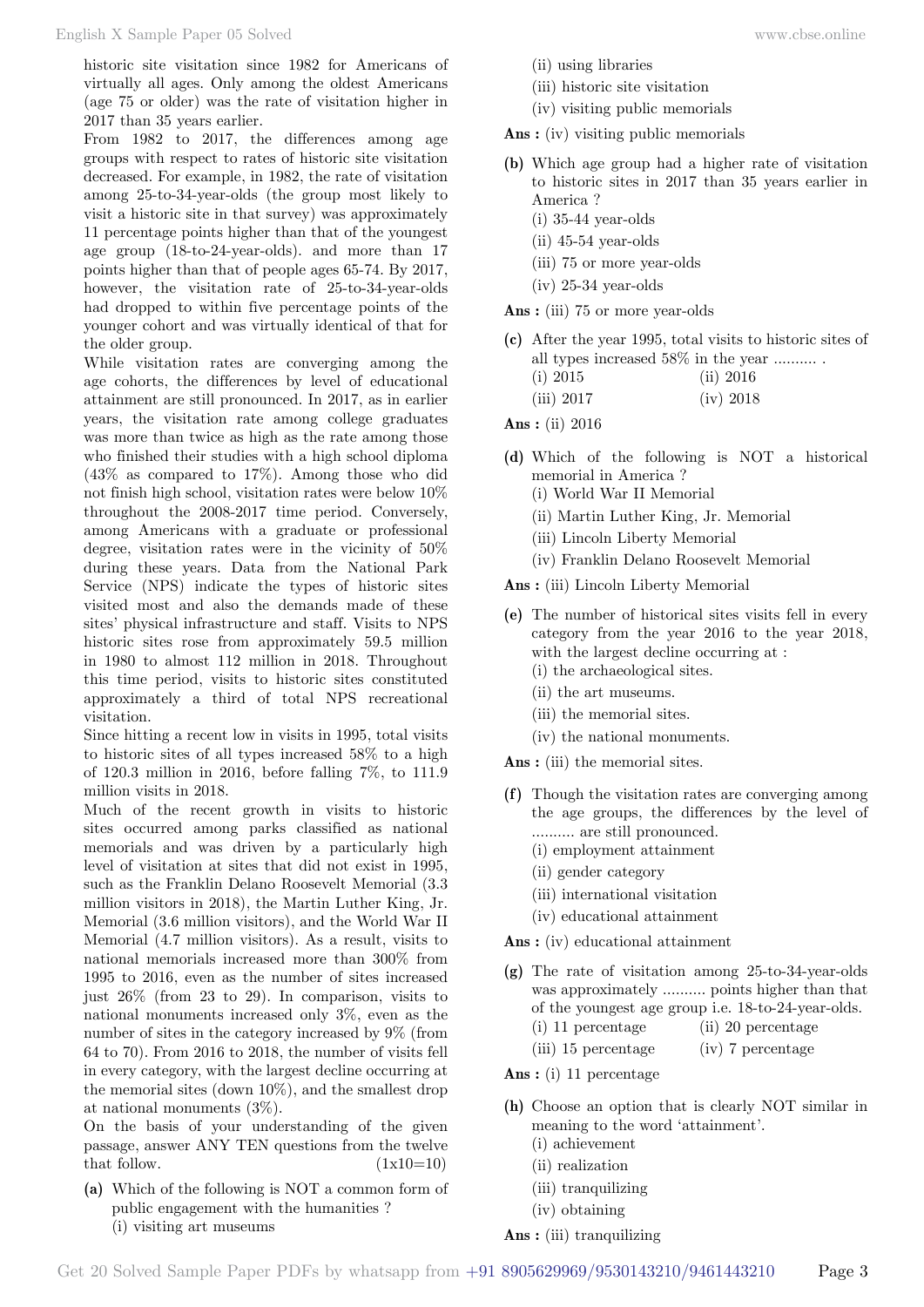historic site visitation since 1982 for Americans of virtually all ages. Only among the oldest Americans (age 75 or older) was the rate of visitation higher in 2017 than 35 years earlier.

From 1982 to 2017, the differences among age groups with respect to rates of historic site visitation decreased. For example, in 1982, the rate of visitation among 25-to-34-year-olds (the group most likely to visit a historic site in that survey) was approximately 11 percentage points higher than that of the youngest age group (18-to-24-year-olds). and more than 17 points higher than that of people ages 65-74. By 2017, however, the visitation rate of 25-to-34-year-olds had dropped to within five percentage points of the younger cohort and was virtually identical of that for the older group.

While visitation rates are converging among the age cohorts, the differences by level of educational attainment are still pronounced. In 2017, as in earlier years, the visitation rate among college graduates was more than twice as high as the rate among those who finished their studies with a high school diploma (43% as compared to 17%). Among those who did not finish high school, visitation rates were below 10% throughout the 2008-2017 time period. Conversely, among Americans with a graduate or professional degree, visitation rates were in the vicinity of 50% during these years. Data from the National Park Service (NPS) indicate the types of historic sites visited most and also the demands made of these sites' physical infrastructure and staff. Visits to NPS historic sites rose from approximately 59.5 million in 1980 to almost 112 million in 2018. Throughout this time period, visits to historic sites constituted approximately a third of total NPS recreational visitation.

Since hitting a recent low in visits in 1995, total visits to historic sites of all types increased 58% to a high of 120.3 million in 2016, before falling 7%, to 111.9 million visits in 2018.

Much of the recent growth in visits to historic sites occurred among parks classified as national memorials and was driven by a particularly high level of visitation at sites that did not exist in 1995, such as the Franklin Delano Roosevelt Memorial (3.3 million visitors in 2018), the Martin Luther King, Jr. Memorial (3.6 million visitors), and the World War II Memorial (4.7 million visitors). As a result, visits to national memorials increased more than 300% from 1995 to 2016, even as the number of sites increased just  $26\%$  (from 23 to 29). In comparison, visits to national monuments increased only 3%, even as the number of sites in the category increased by 9% (from 64 to 70). From 2016 to 2018, the number of visits fell in every category, with the largest decline occurring at the memorial sites (down 10%), and the smallest drop at national monuments (3%).

On the basis of your understanding of the given passage, answer ANY TEN questions from the twelve that follow.  $(1x10=10)$ 

**(a)** Which of the following is NOT a common form of public engagement with the humanities ? (i) visiting art museums

- (ii) using libraries
- (iii) historic site visitation
- (iv) visiting public memorials

 **Ans :** (iv) visiting public memorials

- **(b)** Which age group had a higher rate of visitation to historic sites in 2017 than 35 years earlier in America ?
	- (i) 35-44 year-olds
	- (ii) 45-54 year-olds
	- (iii) 75 or more year-olds
	- (iv) 25-34 year-olds

 **Ans :** (iii) 75 or more year-olds

- **(c)** After the year 1995, total visits to historic sites of all types increased 58% in the year .......... . (i) 2015 (ii) 2016
	- (iii) 2017 (iv) 2018

 **Ans :** (ii) 2016

- **(d)** Which of the following is NOT a historical memorial in America ?
	- (i) World War II Memorial
	- (ii) Martin Luther King, Jr. Memorial
	- (iii) Lincoln Liberty Memorial
	- (iv) Franklin Delano Roosevelt Memorial

 **Ans :** (iii) Lincoln Liberty Memorial

- **(e)** The number of historical sites visits fell in every category from the year 2016 to the year 2018, with the largest decline occurring at : (i) the archaeological sites.
	- (ii) the art museums.
	- (iii) the memorial sites.
	- (iv) the national monuments.

 **Ans :** (iii) the memorial sites.

- **(f)** Though the visitation rates are converging among the age groups, the differences by the level of .......... are still pronounced.
	- (i) employment attainment
	- (ii) gender category
	- (iii) international visitation
	- (iv) educational attainment

 **Ans :** (iv) educational attainment

- **(g)** The rate of visitation among 25-to-34-year-olds was approximately .......... points higher than that of the youngest age group i.e. 18-to-24-year-olds. (i) 11 percentage (ii) 20 percentage
	- (iii) 15 percentage (iv) 7 percentage

 **Ans :** (i) 11 percentage

- **(h)** Choose an option that is clearly NOT similar in meaning to the word 'attainment'.
	- (i) achievement
	- (ii) realization
	- (iii) tranquilizing
	- (iv) obtaining

 **Ans :** (iii) tranquilizing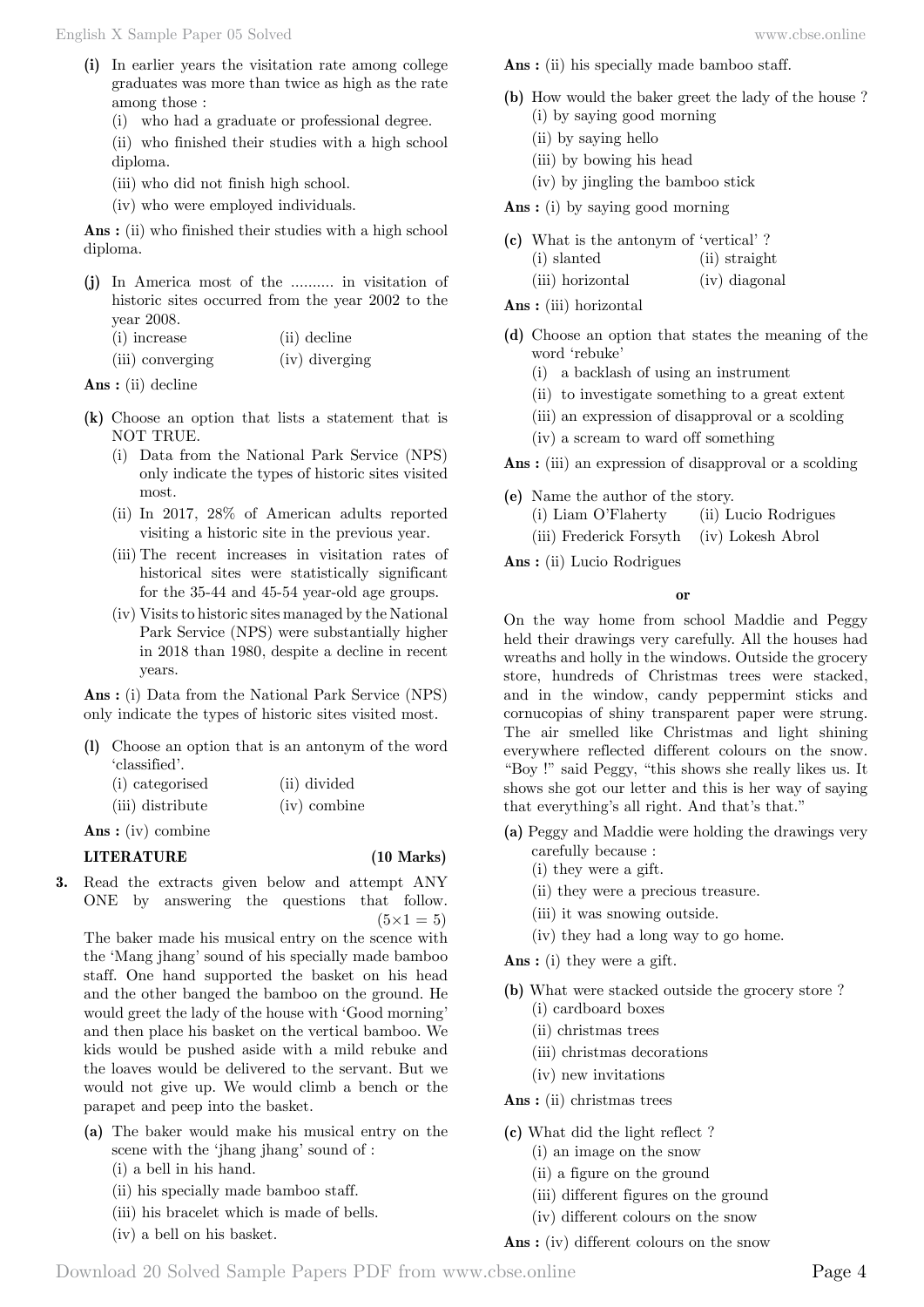- **(i)** In earlier years the visitation rate among college graduates was more than twice as high as the rate among those :
	- (i) who had a graduate or professional degree.

(ii) who finished their studies with a high school diploma.

- (iii) who did not finish high school.
- (iv) who were employed individuals.

 **Ans :** (ii) who finished their studies with a high school diploma.

**(j)** In America most of the .......... in visitation of historic sites occurred from the year 2002 to the year 2008.

| (i) increase     | (ii) decline   |
|------------------|----------------|
| (iii) converging | (iv) diverging |

 **Ans :** (ii) decline

- **(k)** Choose an option that lists a statement that is NOT TRUE.
	- (i) Data from the National Park Service (NPS) only indicate the types of historic sites visited most.
	- (ii) In 2017, 28% of American adults reported visiting a historic site in the previous year.
	- (iii) The recent increases in visitation rates of historical sites were statistically significant for the 35-44 and 45-54 year-old age groups.
	- (iv) Visits to historic sites managed by the National Park Service (NPS) were substantially higher in 2018 than 1980, despite a decline in recent years.

 **Ans :** (i) Data from the National Park Service (NPS) only indicate the types of historic sites visited most.

**(l)** Choose an option that is an antonym of the word 'classified'.

| (i) categorised  | (ii) divided |
|------------------|--------------|
| (iii) distribute | (iv) combine |

 **Ans :** (iv) combine

#### **LITERATURE (10 Marks)**

**3.** Read the extracts given below and attempt ANY ONE by answering the questions that follow.  $(5 \times 1 = 5)$ 

The baker made his musical entry on the scence with the 'Mang jhang' sound of his specially made bamboo staff. One hand supported the basket on his head and the other banged the bamboo on the ground. He would greet the lady of the house with 'Good morning' and then place his basket on the vertical bamboo. We kids would be pushed aside with a mild rebuke and the loaves would be delivered to the servant. But we would not give up. We would climb a bench or the parapet and peep into the basket.

- **(a)** The baker would make his musical entry on the scene with the 'jhang jhang' sound of :
	- (i) a bell in his hand.
	- (ii) his specially made bamboo staff.
	- (iii) his bracelet which is made of bells.
	- (iv) a bell on his basket.

 **Ans :** (ii) his specially made bamboo staff.

- **(b)** How would the baker greet the lady of the house ? (i) by saying good morning
	- (ii) by saying hello
	- (iii) by bowing his head
	- (iv) by jingling the bamboo stick

 **Ans :** (i) by saying good morning

- **(c)** What is the antonym of 'vertical' ?
	- (i) slanted (ii) straight
		- (iii) horizontal (iv) diagonal

 **Ans :** (iii) horizontal

- **(d)** Choose an option that states the meaning of the word 'rebuke'
	- (i) a backlash of using an instrument
	- (ii) to investigate something to a great extent
	- (iii) an expression of disapproval or a scolding
	- (iv) a scream to ward off something

 **Ans :** (iii) an expression of disapproval or a scolding

- **(e)** Name the author of the story.
	- (i) Liam O'Flaherty (ii) Lucio Rodrigues
	- (iii) Frederick Forsyth (iv) Lokesh Abrol
- **Ans :** (ii) Lucio Rodrigues

 **o**

On the way home from school Maddie and Peggy held their drawings very carefully. All the houses had wreaths and holly in the windows. Outside the grocery store, hundreds of Christmas trees were stacked, and in the window, candy peppermint sticks and cornucopias of shiny transparent paper were strung. The air smelled like Christmas and light shining everywhere reflected different colours on the snow. "Boy !" said Peggy, "this shows she really likes us. It shows she got our letter and this is her way of saying that everything's all right. And that's that."

- **(a)** Peggy and Maddie were holding the drawings very carefully because :
	- (i) they were a gift.
	- (ii) they were a precious treasure.
	- (iii) it was snowing outside.
	- (iv) they had a long way to go home.

 **Ans :** (i) they were a gift.

- **(b)** What were stacked outside the grocery store ?
	- (i) cardboard boxes
	- (ii) christmas trees
	- (iii) christmas decorations
	- (iv) new invitations

 **Ans :** (ii) christmas trees

- **(c)** What did the light reflect ?
	- (i) an image on the snow
	- (ii) a figure on the ground
	- (iii) different figures on the ground
	- (iv) different colours on the snow
- **Ans :** (iv) different colours on the snow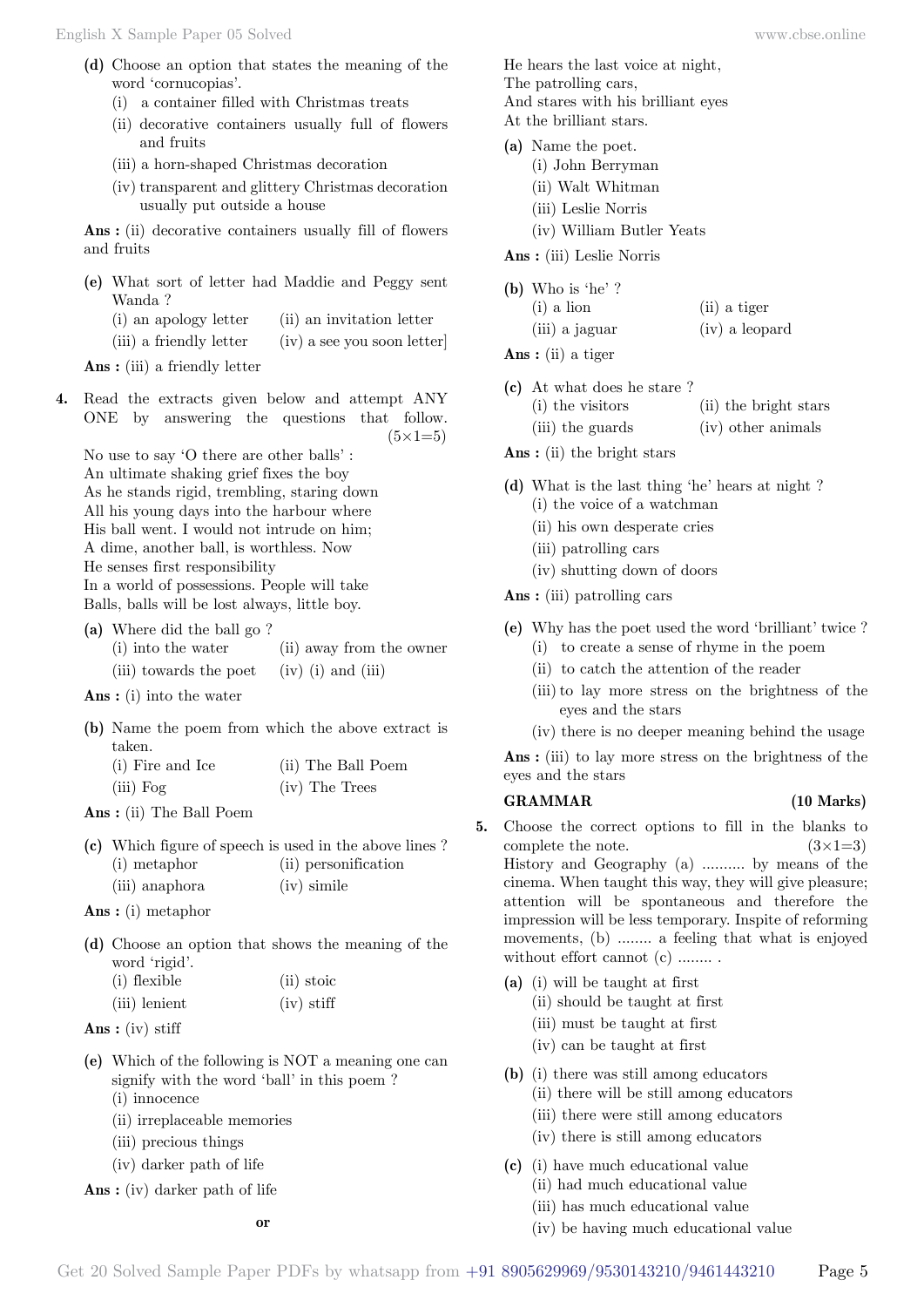- **(d)** Choose an option that states the meaning of the word 'cornucopias'.
	- (i) a container filled with Christmas treats
	- (ii) decorative containers usually full of flowers and fruits
	- (iii) a horn-shaped Christmas decoration
	- (iv) transparent and glittery Christmas decoration usually put outside a house

 **Ans :** (ii) decorative containers usually fill of flowers and fruits

- **(e)** What sort of letter had Maddie and Peggy sent Wanda ?
	- (i) an apology letter (ii) an invitation letter
	- (iii) a friendly letter  $(iv)$  a see you soon letter

 **Ans :** (iii) a friendly letter

**4.** Read the extracts given below and attempt ANY ONE by answering the questions that follow.  $(5 \times 1=5)$ 

No use to say 'O there are other balls' : An ultimate shaking grief fixes the boy As he stands rigid, trembling, staring down All his young days into the harbour where His ball went. I would not intrude on him; A dime, another ball, is worthless. Now He senses first responsibility In a world of possessions. People will take Balls, balls will be lost always, little boy.

- **(a)** Where did the ball go ? (i) into the water (ii) away from the owner (iii) towards the poet  $(iv)$  (i) and (iii)
- **Ans :** (i) into the water
- **(b)** Name the poem from which the above extract is taken. (i) Fire and Ice (ii) The Ball Poem (iii) Fog (iv) The Trees
- **Ans :** (ii) The Ball Poem

|                | (c) Which figure of speech is used in the above lines? |
|----------------|--------------------------------------------------------|
| (i) metaphor   | (ii) personification                                   |
| (iii) anaphora | $(iv)$ simile                                          |

 **Ans :** (i) metaphor

**(d)** Choose an option that shows the meaning of the word 'rigid'.  $(i)$  flexible  $(ii)$  stoic

| $(1)$ liexible | $(II)$ stole |
|----------------|--------------|
| (iii) lenient  | $(iv)$ stiff |

- **Ans :** (iv) stiff
- **(e)** Which of the following is NOT a meaning one can signify with the word 'ball' in this poem ? (i) innocence
	- (ii) irreplaceable memories
	- (iii) precious things
	- (iv) darker path of life

 **Ans :** (iv) darker path of life

He hears the last voice at night, The patrolling cars, And stares with his brilliant eyes At the brilliant stars.

- **(a)** Name the poet.
	- (i) John Berryman
	- (ii) Walt Whitman
	- (iii) Leslie Norris
	- (iv) William Butler Yeats

 **Ans :** (iii) Leslie Norris

| (b) Who is 'he'? |                |
|------------------|----------------|
| $(i)$ a lion     | (ii) a tiger   |
| (iii) a jaguar   | (iv) a leopard |

- **Ans :** (ii) a tiger
- **(c)** At what does he stare ?
	- (i) the visitors (ii) the bright stars
	- (iii) the guards (iv) other animals
- **Ans :** (ii) the bright stars
- **(d)** What is the last thing 'he' hears at night ? (i) the voice of a watchman
	- (ii) his own desperate cries
	- (iii) patrolling cars
	- (iv) shutting down of doors

 **Ans :** (iii) patrolling cars

- **(e)** Why has the poet used the word 'brilliant' twice ? (i) to create a sense of rhyme in the poem
	- (ii) to catch the attention of the reader
	- (iii) to lay more stress on the brightness of the eyes and the stars
	- (iv) there is no deeper meaning behind the usage

 **Ans :** (iii) to lay more stress on the brightness of the eyes and the stars

#### **GRAMMAR (10 Marks)**

- 
- **5.** Choose the correct options to fill in the blanks to complete the note.  $(3\times1=3)$ History and Geography (a) .......... by means of the cinema. When taught this way, they will give pleasure; attention will be spontaneous and therefore the impression will be less temporary. Inspite of reforming movements, (b) ........ a feeling that what is enjoyed without effort cannot (c) ........
	- **(a)** (i) will be taught at first
		- (ii) should be taught at first
		- (iii) must be taught at first
		- (iv) can be taught at first
	- **(b)** (i) there was still among educators
		- (ii) there will be still among educators
		- (iii) there were still among educators
		- (iv) there is still among educators
	- **(c)** (i) have much educational value
		- (ii) had much educational value
		- (iii) has much educational value
		- (iv) be having much educational value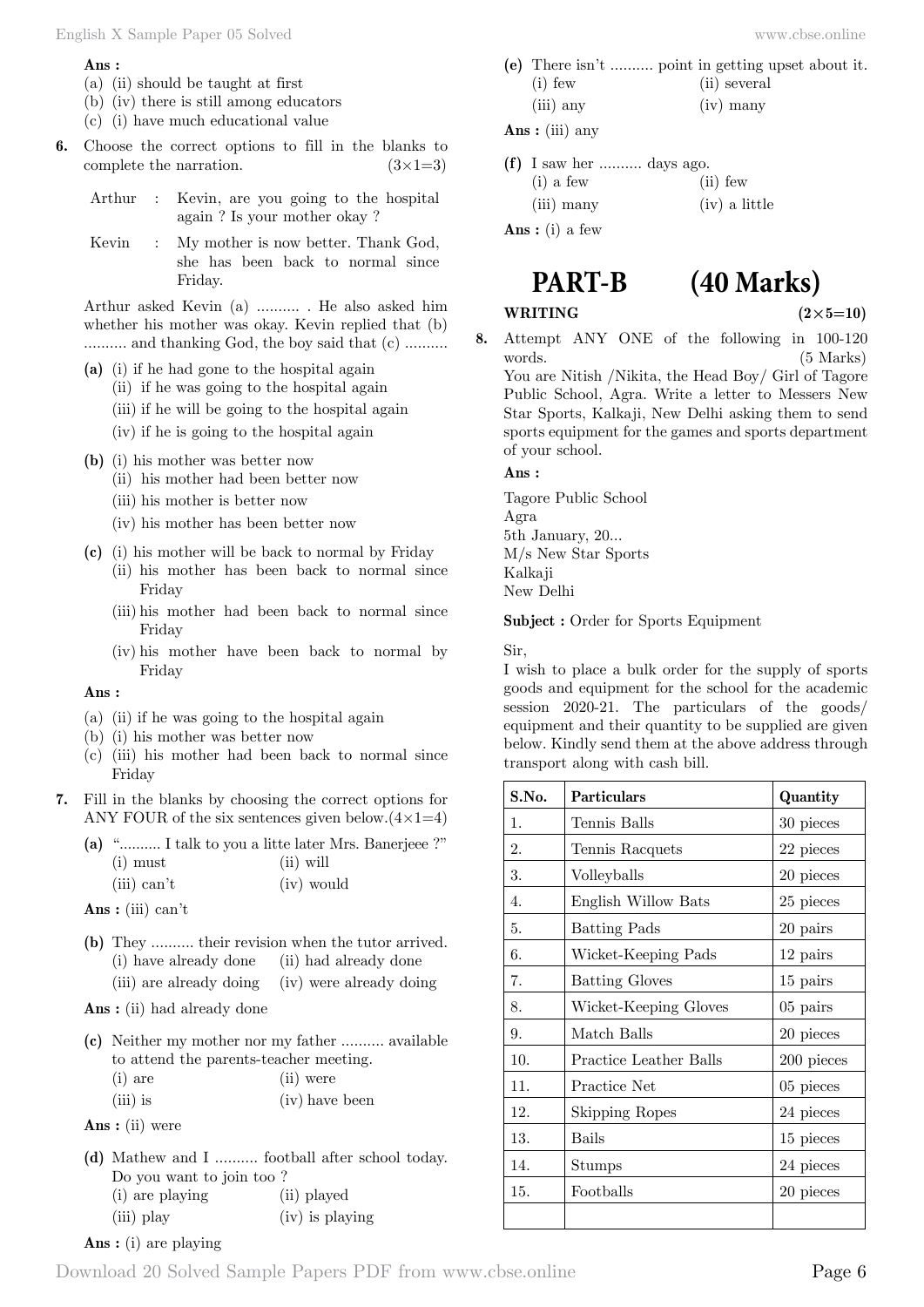#### **Ans :**

- (a) (ii) should be taught at first
- (b) (iv) there is still among educators
- (c) (i) have much educational value
- **6.** Choose the correct options to fill in the blanks to complete the narration.  $(3\times1=3)$

Arthur : Kevin, are you going to the hospital again ? Is your mother okay ?

Kevin : My mother is now better. Thank God, she has been back to normal since Friday.

Arthur asked Kevin (a) .......... . He also asked him whether his mother was okay. Kevin replied that (b) .......... and thanking God, the boy said that (c) ..........

- **(a)** (i) if he had gone to the hospital again
	- (ii) if he was going to the hospital again
	- (iii) if he will be going to the hospital again
	- (iv) if he is going to the hospital again
- **(b)** (i) his mother was better now
	- (ii) his mother had been better now
	- (iii) his mother is better now
	- (iv) his mother has been better now
- **(c)** (i) his mother will be back to normal by Friday
	- (ii) his mother has been back to normal since Friday
	- (iii) his mother had been back to normal since Friday
	- (iv) his mother have been back to normal by Friday

#### **Ans :**

- (a) (ii) if he was going to the hospital again
- (b) (i) his mother was better now
- (c) (iii) his mother had been back to normal since Friday
- **7.** Fill in the blanks by choosing the correct options for ANY FOUR of the six sentences given below. $(4 \times 1=4)$

|            | (a) " I talk to you a litte later Mrs. Banerjeee ?" |  |
|------------|-----------------------------------------------------|--|
| $(i)$ must | $(ii)$ will                                         |  |

| (iii) can't |  | (iv) would |
|-------------|--|------------|
|-------------|--|------------|

 **Ans :** (iii) can't

**(b)** They .......... their revision when the tutor arrived. (i) have already done (ii) had already done (iii) are already doing (iv) were already doing

 **Ans :** (ii) had already done

|                                        | (c) Neither my mother nor my father  available |
|----------------------------------------|------------------------------------------------|
| to attend the parents-teacher meeting. |                                                |
| $(i)$ are                              | (ii) were                                      |
| $(iii)$ is                             | (iv) have been                                 |

- **Ans :** (ii) were
- **(d)** Mathew and I .......... football after school today. Do you want to join too ? (i) are playing (ii) played (iii) play (iv) is playing
- **Ans :** (i) are playing

**(e)** There isn't .......... point in getting upset about it. (i) few (ii) several (iii) any (iv) many

 **Ans :** (iii) any

**(f)** I saw her .......... days ago.  $(i)$  a few  $(i)$  few (iii) many (iv) a little  **Ans :** (i) a few

## **PART-B (40 Marks)**

**WRITING**  $(2 \times 5=10)$ 

**8.** Attempt ANY ONE of the following in 100-120 words. (5 Marks)

You are Nitish /Nikita, the Head Boy/ Girl of Tagore Public School, Agra. Write a letter to Messers New Star Sports, Kalkaji, New Delhi asking them to send sports equipment for the games and sports department of your school.

 **Ans :**

Tagore Public School Agra 5th January, 20... M/s New Star Sports Kalkaji New Delhi

#### **Subject :** Order for Sports Equipment

Sir,

I wish to place a bulk order for the supply of sports goods and equipment for the school for the academic session 2020-21. The particulars of the goods/ equipment and their quantity to be supplied are given below. Kindly send them at the above address through transport along with cash bill.

| S.No. | <b>Particulars</b>     | Quantity    |
|-------|------------------------|-------------|
| 1.    | Tennis Balls           | 30 pieces   |
| 2.    | Tennis Racquets        | 22 pieces   |
| 3.    | Volleyballs            | 20 pieces   |
| 4.    | English Willow Bats    | 25 pieces   |
| 5.    | <b>Batting Pads</b>    | 20 pairs    |
| 6.    | Wicket-Keeping Pads    | 12 pairs    |
| 7.    | <b>Batting Gloves</b>  | 15 pairs    |
| 8.    | Wicket-Keeping Gloves  | 05 pairs    |
| 9.    | Match Balls            | 20 pieces   |
| 10.   | Practice Leather Balls | 200 pieces  |
| 11.   | Practice Net           | $05$ pieces |
| 12.   | <b>Skipping Ropes</b>  | 24 pieces   |
| 13.   | Bails                  | 15 pieces   |
| 14.   | $_{\rm Stumps}$        | 24 pieces   |
| 15.   | Footballs              | 20 pieces   |
|       |                        |             |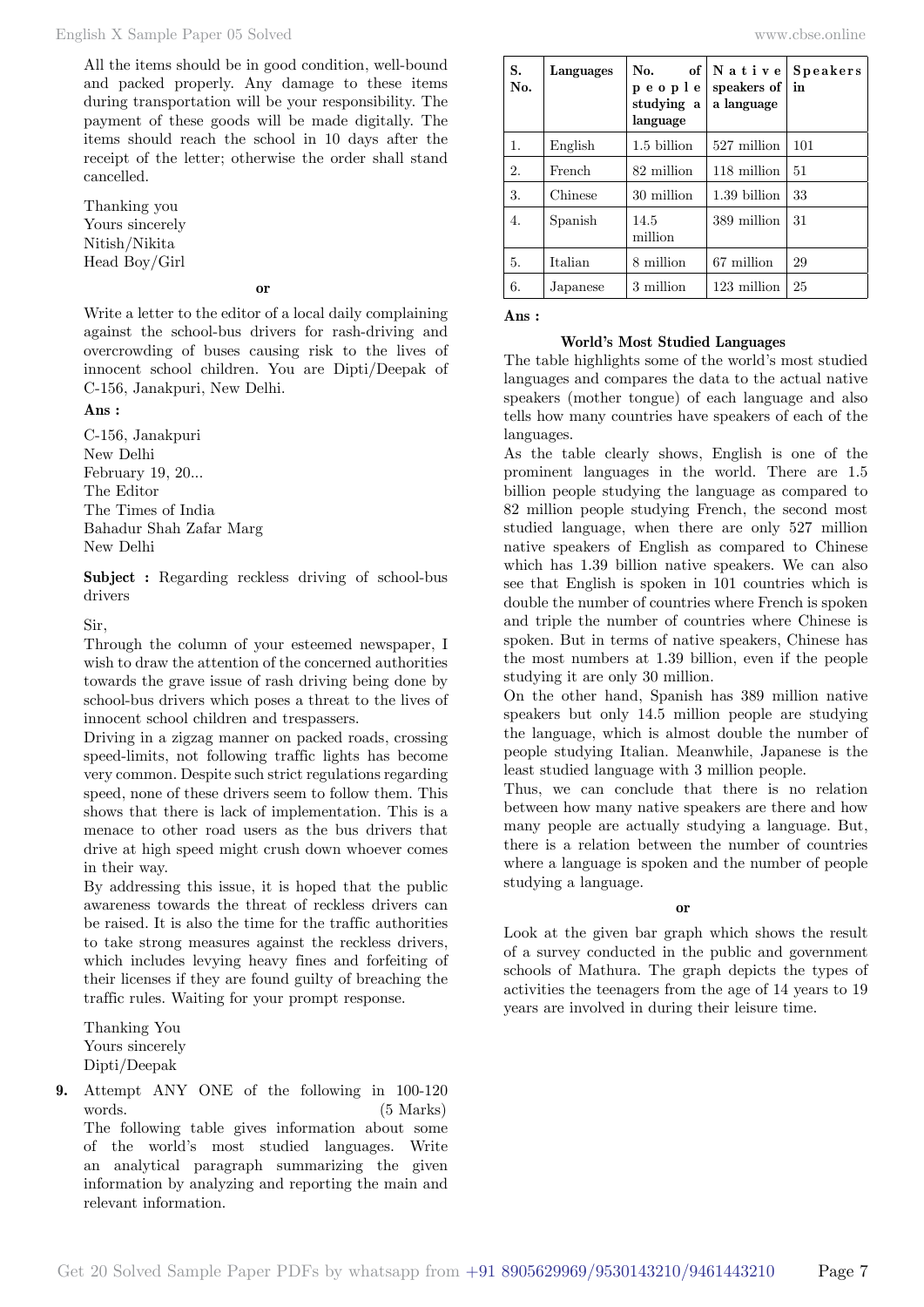All the items should be in good condition, well-bound and packed properly. Any damage to these items during transportation will be your responsibility. The payment of these goods will be made digitally. The items should reach the school in 10 days after the receipt of the letter; otherwise the order shall stand cancelled.

Thanking you Yours sincerely Nitish/Nikita Head Boy/Girl

#### **o**

Write a letter to the editor of a local daily complaining against the school-bus drivers for rash-driving and overcrowding of buses causing risk to the lives of innocent school children. You are Dipti/Deepak of C-156, Janakpuri, New Delhi.

#### **Ans :**

C-156, Janakpuri New Delhi February 19, 20... The Editor The Times of India Bahadur Shah Zafar Marg New Delhi

**Subject :** Regarding reckless driving of school-bus drivers

#### Sir,

Through the column of your esteemed newspaper, I wish to draw the attention of the concerned authorities towards the grave issue of rash driving being done by school-bus drivers which poses a threat to the lives of innocent school children and trespassers.

Driving in a zigzag manner on packed roads, crossing speed-limits, not following traffic lights has become very common. Despite such strict regulations regarding speed, none of these drivers seem to follow them. This shows that there is lack of implementation. This is a menace to other road users as the bus drivers that drive at high speed might crush down whoever comes in their way.

By addressing this issue, it is hoped that the public awareness towards the threat of reckless drivers can be raised. It is also the time for the traffic authorities to take strong measures against the reckless drivers, which includes levying heavy fines and forfeiting of their licenses if they are found guilty of breaching the traffic rules. Waiting for your prompt response.

Thanking You Yours sincerely Dipti/Deepak

**9.** Attempt ANY ONE of the following in 100-120 words. (5 Marks) The following table gives information about some of the world's most studied languages. Write an analytical paragraph summarizing the given information by analyzing and reporting the main and relevant information.

| S.<br>No. | Languages | No.<br>of<br>people<br>studying a<br>language | Native<br>speakers of<br>a language | Speakers<br>in |
|-----------|-----------|-----------------------------------------------|-------------------------------------|----------------|
| 1.        | English   | 1.5 billion                                   | 527 million                         | 101            |
| 2.        | French    | 82 million                                    | 118 million                         | 51             |
| 3.        | Chinese   | 30 million                                    | 1.39 billion                        | 33             |
| 4.        | Spanish   | 14.5<br>million                               | 389 million                         | 31             |
| 5.        | Italian   | 8 million                                     | 67 million                          | 29             |
| 6.        | Japanese  | 3 million                                     | 123 million                         | 25             |

#### **Ans :**

#### **World's Most Studied Languages**

The table highlights some of the world's most studied languages and compares the data to the actual native speakers (mother tongue) of each language and also tells how many countries have speakers of each of the languages.

As the table clearly shows, English is one of the prominent languages in the world. There are 1.5 billion people studying the language as compared to 82 million people studying French, the second most studied language, when there are only 527 million native speakers of English as compared to Chinese which has 1.39 billion native speakers. We can also see that English is spoken in 101 countries which is double the number of countries where French is spoken and triple the number of countries where Chinese is spoken. But in terms of native speakers, Chinese has the most numbers at 1.39 billion, even if the people studying it are only 30 million.

On the other hand, Spanish has 389 million native speakers but only 14.5 million people are studying the language, which is almost double the number of people studying Italian. Meanwhile, Japanese is the least studied language with 3 million people.

Thus, we can conclude that there is no relation between how many native speakers are there and how many people are actually studying a language. But, there is a relation between the number of countries where a language is spoken and the number of people studying a language.

 **o**

Look at the given bar graph which shows the result of a survey conducted in the public and government schools of Mathura. The graph depicts the types of activities the teenagers from the age of 14 years to 19 years are involved in during their leisure time.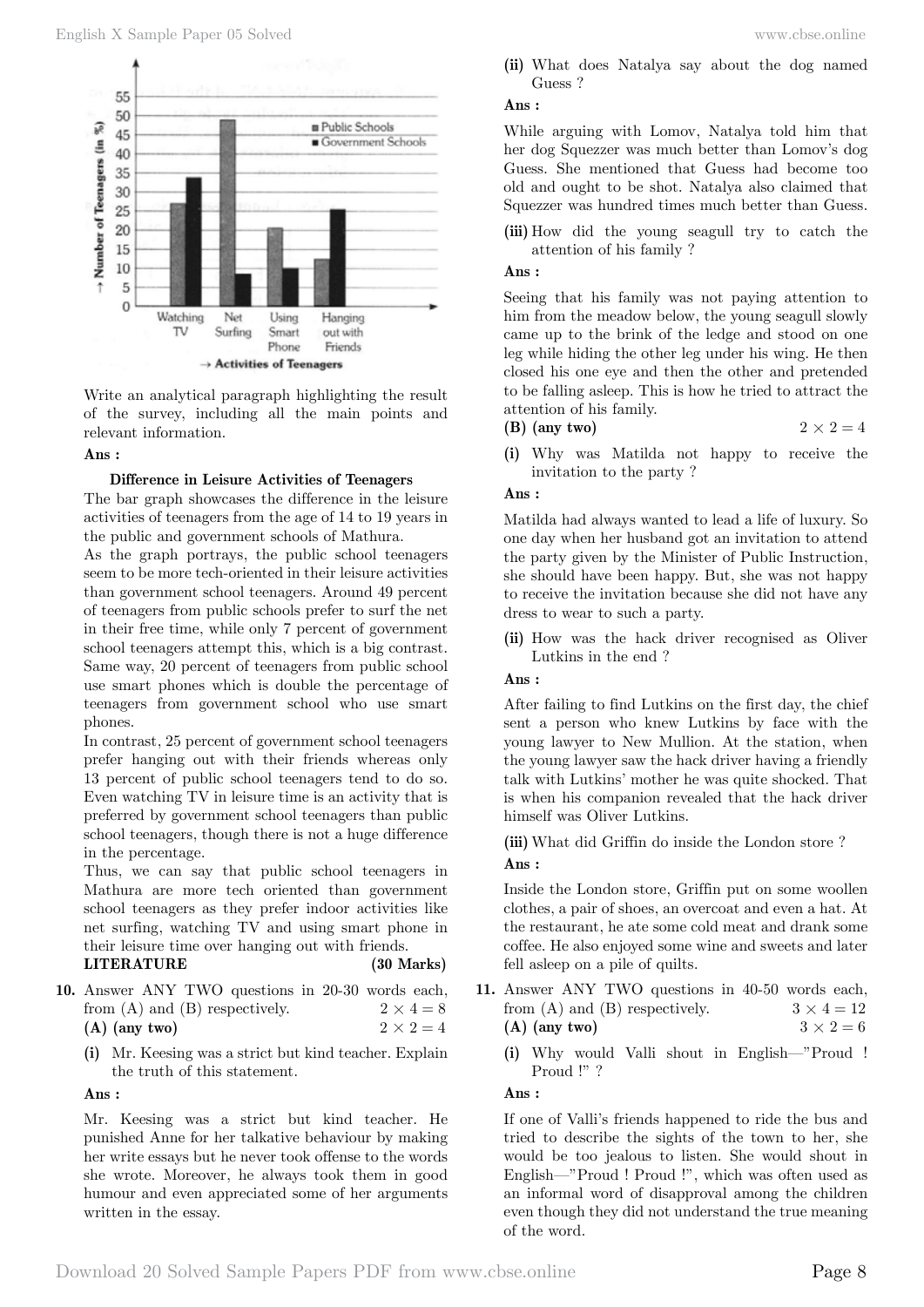

Write an analytical paragraph highlighting the result of the survey, including all the main points and relevant information.

#### **Ans :**

#### **Difference in Leisure Activities of Teenagers**

The bar graph showcases the difference in the leisure activities of teenagers from the age of 14 to 19 years in the public and government schools of Mathura.

As the graph portrays, the public school teenagers seem to be more tech-oriented in their leisure activities than government school teenagers. Around 49 percent of teenagers from public schools prefer to surf the net in their free time, while only 7 percent of government school teenagers attempt this, which is a big contrast. Same way, 20 percent of teenagers from public school use smart phones which is double the percentage of teenagers from government school who use smart phones.

In contrast, 25 percent of government school teenagers prefer hanging out with their friends whereas only 13 percent of public school teenagers tend to do so. Even watching TV in leisure time is an activity that is preferred by government school teenagers than public school teenagers, though there is not a huge difference in the percentage.

Thus, we can say that public school teenagers in Mathura are more tech oriented than government school teenagers as they prefer indoor activities like net surfing, watching TV and using smart phone in their leisure time over hanging out with friends.

#### **LITERATURE (30 Marks)**

- **10.** Answer ANY TWO questions in 20-30 words each, from (A) and (B) respectively.  $2 \times 4 = 8$ **(A)** (any two)  $2 \times 2 = 4$ 
	- **(i)** Mr. Keesing was a strict but kind teacher. Explain the truth of this statement.

#### **Ans :**

Mr. Keesing was a strict but kind teacher. He punished Anne for her talkative behaviour by making her write essays but he never took offense to the words she wrote. Moreover, he always took them in good humour and even appreciated some of her arguments written in the essay.

**(ii)** What does Natalya say about the dog named Guess ?

#### **Ans :**

While arguing with Lomov, Natalya told him that her dog Squezzer was much better than Lomov's dog Guess. She mentioned that Guess had become too old and ought to be shot. Natalya also claimed that Squezzer was hundred times much better than Guess.

**(iii)** How did the young seagull try to catch the attention of his family ?

### **Ans :**

Seeing that his family was not paying attention to him from the meadow below, the young seagull slowly came up to the brink of the ledge and stood on one leg while hiding the other leg under his wing. He then closed his one eye and then the other and pretended to be falling asleep. This is how he tried to attract the attention of his family.

### **(B)** (any two)  $2 \times 2 = 4$

- 
- **(i)** Why was Matilda not happy to receive the invitation to the party ?

#### **Ans :**

Matilda had always wanted to lead a life of luxury. So one day when her husband got an invitation to attend the party given by the Minister of Public Instruction, she should have been happy. But, she was not happy to receive the invitation because she did not have any dress to wear to such a party.

**(ii)** How was the hack driver recognised as Oliver Lutkins in the end ?

#### **Ans :**

After failing to find Lutkins on the first day, the chief sent a person who knew Lutkins by face with the young lawyer to New Mullion. At the station, when the young lawyer saw the hack driver having a friendly talk with Lutkins' mother he was quite shocked. That is when his companion revealed that the hack driver himself was Oliver Lutkins.

**(iii)** What did Griffin do inside the London store ?  **Ans :**

Inside the London store, Griffin put on some woollen clothes, a pair of shoes, an overcoat and even a hat. At the restaurant, he ate some cold meat and drank some coffee. He also enjoyed some wine and sweets and later fell asleep on a pile of quilts.

- **11.** Answer ANY TWO questions in 40-50 words each, from (A) and (B) respectively.  $3 \times 4 = 12$ (A) (any two)  $3 \times 2 = 6$ 
	- **(i)** Why would Valli shout in English—"Proud ! Proud !" ?

#### **Ans :**

If one of Valli's friends happened to ride the bus and tried to describe the sights of the town to her, she would be too jealous to listen. She would shout in English—"Proud ! Proud !", which was often used as an informal word of disapproval among the children even though they did not understand the true meaning of the word.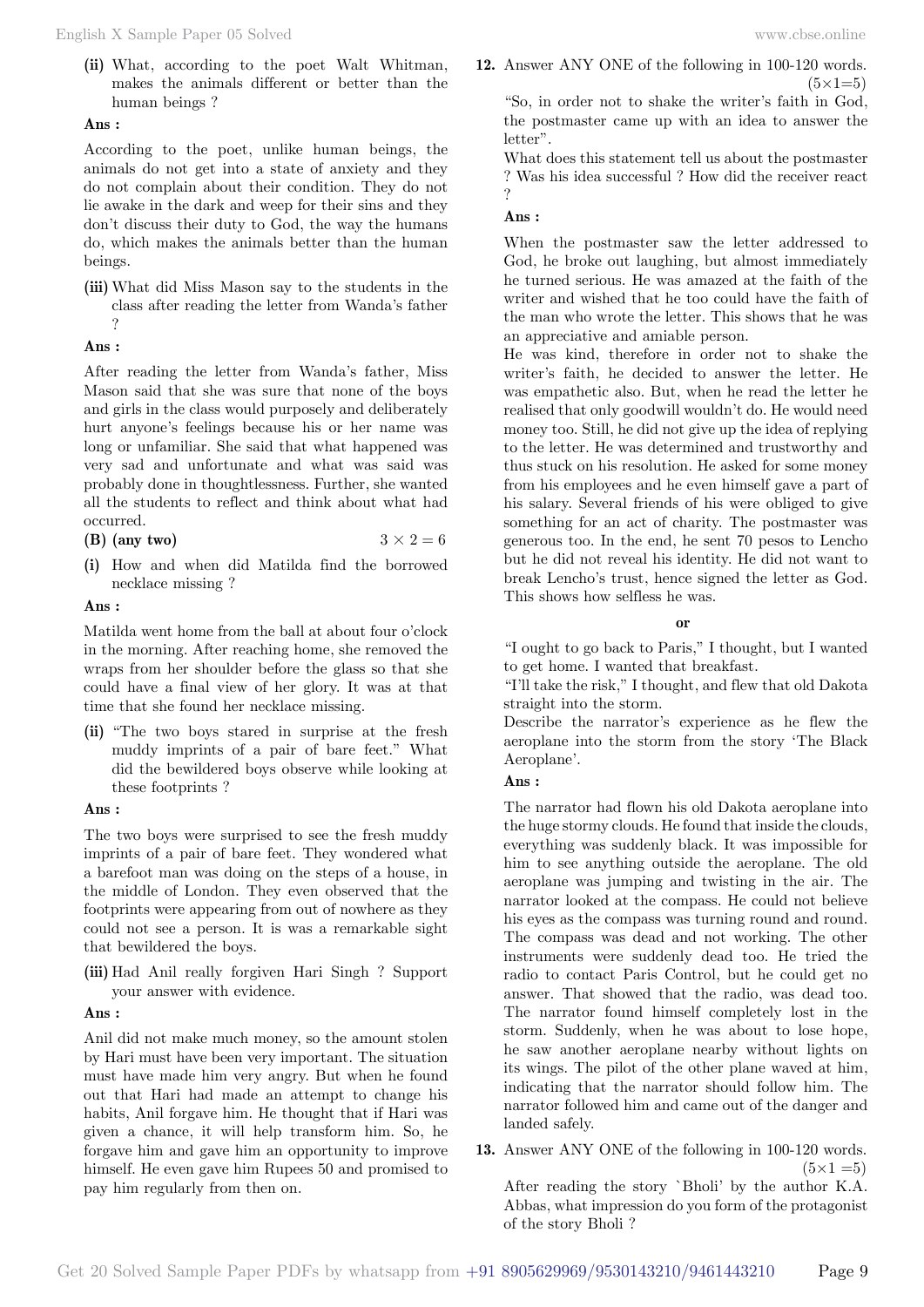**(ii)** What, according to the poet Walt Whitman, makes the animals different or better than the human beings ?

#### **Ans :**

According to the poet, unlike human beings, the animals do not get into a state of anxiety and they do not complain about their condition. They do not lie awake in the dark and weep for their sins and they don't discuss their duty to God, the way the humans do, which makes the animals better than the human beings.

**(iii)** What did Miss Mason say to the students in the class after reading the letter from Wanda's father ?

#### **Ans :**

After reading the letter from Wanda's father, Miss Mason said that she was sure that none of the boys and girls in the class would purposely and deliberately hurt anyone's feelings because his or her name was long or unfamiliar. She said that what happened was very sad and unfortunate and what was said was probably done in thoughtlessness. Further, she wanted all the students to reflect and think about what had occurred.

|  | $(B)$ (any two) |  | $3 \times 2 = 6$ |  |
|--|-----------------|--|------------------|--|
|--|-----------------|--|------------------|--|

**(i)** How and when did Matilda find the borrowed necklace missing ?

#### **Ans :**

Matilda went home from the ball at about four o'clock in the morning. After reaching home, she removed the wraps from her shoulder before the glass so that she could have a final view of her glory. It was at that time that she found her necklace missing.

**(ii)** "The two boys stared in surprise at the fresh muddy imprints of a pair of bare feet." What did the bewildered boys observe while looking at these footprints ?

#### **Ans :**

The two boys were surprised to see the fresh muddy imprints of a pair of bare feet. They wondered what a barefoot man was doing on the steps of a house, in the middle of London. They even observed that the footprints were appearing from out of nowhere as they could not see a person. It is was a remarkable sight that bewildered the boys.

**(iii)** Had Anil really forgiven Hari Singh ? Support your answer with evidence.

#### **Ans :**

Anil did not make much money, so the amount stolen by Hari must have been very important. The situation must have made him very angry. But when he found out that Hari had made an attempt to change his habits, Anil forgave him. He thought that if Hari was given a chance, it will help transform him. So, he forgave him and gave him an opportunity to improve himself. He even gave him Rupees 50 and promised to pay him regularly from then on.

**12.** Answer ANY ONE of the following in 100-120 words.  $(5 \times 1=5)$ 

"So, in order not to shake the writer's faith in God, the postmaster came up with an idea to answer the letter".

What does this statement tell us about the postmaster ? Was his idea successful ? How did the receiver react ?

#### **Ans :**

When the postmaster saw the letter addressed to God, he broke out laughing, but almost immediately he turned serious. He was amazed at the faith of the writer and wished that he too could have the faith of the man who wrote the letter. This shows that he was an appreciative and amiable person.

He was kind, therefore in order not to shake the writer's faith, he decided to answer the letter. He was empathetic also. But, when he read the letter he realised that only goodwill wouldn't do. He would need money too. Still, he did not give up the idea of replying to the letter. He was determined and trustworthy and thus stuck on his resolution. He asked for some money from his employees and he even himself gave a part of his salary. Several friends of his were obliged to give something for an act of charity. The postmaster was generous too. In the end, he sent 70 pesos to Lencho but he did not reveal his identity. He did not want to break Lencho's trust, hence signed the letter as God. This shows how selfless he was.

 **o**

"I ought to go back to Paris," I thought, but I wanted to get home. I wanted that breakfast.

"I'll take the risk," I thought, and flew that old Dakota straight into the storm.

Describe the narrator's experience as he flew the aeroplane into the storm from the story 'The Black Aeroplane'.

#### **Ans :**

The narrator had flown his old Dakota aeroplane into the huge stormy clouds. He found that inside the clouds, everything was suddenly black. It was impossible for him to see anything outside the aeroplane. The old aeroplane was jumping and twisting in the air. The narrator looked at the compass. He could not believe his eyes as the compass was turning round and round. The compass was dead and not working. The other instruments were suddenly dead too. He tried the radio to contact Paris Control, but he could get no answer. That showed that the radio, was dead too. The narrator found himself completely lost in the storm. Suddenly, when he was about to lose hope, he saw another aeroplane nearby without lights on its wings. The pilot of the other plane waved at him, indicating that the narrator should follow him. The narrator followed him and came out of the danger and landed safely.

**13.** Answer ANY ONE of the following in 100-120 words.  $(5 \times 1 = 5)$ 

After reading the story `Bholi' by the author K.A. Abbas, what impression do you form of the protagonist of the story Bholi ?